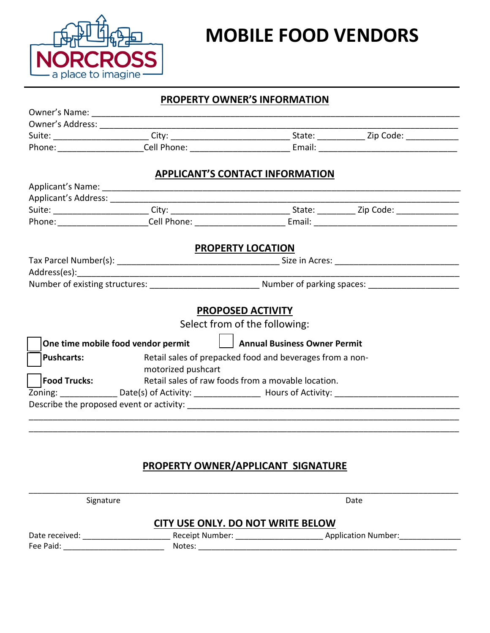

## **MOBILE FOOD VENDORS**

### **PROPERTY OWNER'S INFORMATION**

|                     |                                    | <b>APPLICANT'S CONTACT INFORMATION</b>                   |  |
|---------------------|------------------------------------|----------------------------------------------------------|--|
|                     |                                    |                                                          |  |
|                     |                                    |                                                          |  |
|                     |                                    |                                                          |  |
|                     |                                    |                                                          |  |
|                     |                                    | <b>PROPERTY LOCATION</b>                                 |  |
|                     |                                    |                                                          |  |
|                     |                                    |                                                          |  |
|                     |                                    |                                                          |  |
|                     |                                    |                                                          |  |
|                     |                                    | PROPOSED ACTIVITY                                        |  |
|                     |                                    | Select from of the following:                            |  |
|                     | One time mobile food vendor permit | Annual Business Owner Permit                             |  |
| <b>Pushcarts:</b>   |                                    | Retail sales of prepacked food and beverages from a non- |  |
|                     | motorized pushcart                 |                                                          |  |
| <b>Food Trucks:</b> |                                    | Retail sales of raw foods from a movable location.       |  |
|                     |                                    |                                                          |  |
|                     |                                    |                                                          |  |

### **PROPERTY OWNER/APPLICANT SIGNATURE**

|                                   | Signature |                           | Date                       |  |
|-----------------------------------|-----------|---------------------------|----------------------------|--|
| CITY USE ONLY. DO NOT WRITE BELOW |           |                           |                            |  |
| Date received:<br>Fee Paid:       |           | Receipt Number:<br>Notes: | <b>Application Number:</b> |  |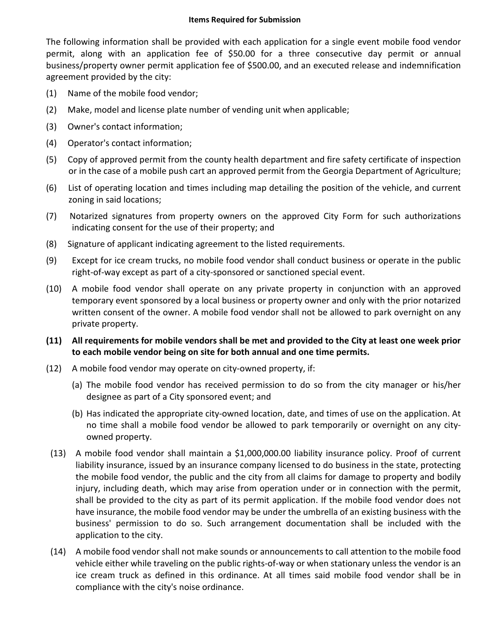#### **Items Required for Submission**

The following information shall be provided with each application for a single event mobile food vendor permit, along with an application fee of \$50.00 for a three consecutive day permit or annual business/property owner permit application fee of \$500.00, and an executed release and indemnification agreement provided by the city:

- (1) Name of the mobile food vendor;
- (2) Make, model and license plate number of vending unit when applicable;
- (3) Owner's contact information;
- (4) Operator's contact information;
- (5) Copy of approved permit from the county health department and fire safety certificate of inspection or in the case of a mobile push cart an approved permit from the Georgia Department of Agriculture;
- (6) List of operating location and times including map detailing the position of the vehicle, and current zoning in said locations;
- (7) Notarized signatures from property owners on the approved City Form for such authorizations indicating consent for the use of their property; and
- (8) Signature of applicant indicating agreement to the listed requirements.
- (9) Except for ice cream trucks, no mobile food vendor shall conduct business or operate in the public right-of-way except as part of a city-sponsored or sanctioned special event.
- (10) A mobile food vendor shall operate on any private property in conjunction with an approved temporary event sponsored by a local business or property owner and only with the prior notarized written consent of the owner. A mobile food vendor shall not be allowed to park overnight on any private property.
- **(11) All requirements for mobile vendors shall be met and provided to the City at least one week prior to each mobile vendor being on site for both annual and one time permits.**
- (12) A mobile food vendor may operate on city-owned property, if:
	- (a) The mobile food vendor has received permission to do so from the city manager or his/her designee as part of a City sponsored event; and
	- (b) Has indicated the appropriate city-owned location, date, and times of use on the application. At no time shall a mobile food vendor be allowed to park temporarily or overnight on any cityowned property.
- (13) A mobile food vendor shall maintain a \$1,000,000.00 liability insurance policy. Proof of current liability insurance, issued by an insurance company licensed to do business in the state, protecting the mobile food vendor, the public and the city from all claims for damage to property and bodily injury, including death, which may arise from operation under or in connection with the permit, shall be provided to the city as part of its permit application. If the mobile food vendor does not have insurance, the mobile food vendor may be under the umbrella of an existing business with the business' permission to do so. Such arrangement documentation shall be included with the application to the city.
- (14) A mobile food vendor shall not make sounds or announcements to call attention to the mobile food vehicle either while traveling on the public rights-of-way or when stationary unless the vendor is an ice cream truck as defined in this ordinance. At all times said mobile food vendor shall be in compliance with the city's noise ordinance.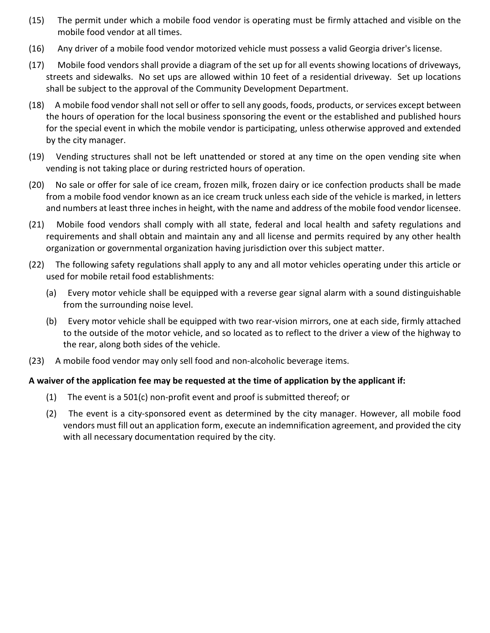- (15) The permit under which a mobile food vendor is operating must be firmly attached and visible on the mobile food vendor at all times.
- (16) Any driver of a mobile food vendor motorized vehicle must possess a valid Georgia driver's license.
- (17) Mobile food vendors shall provide a diagram of the set up for all events showing locations of driveways, streets and sidewalks. No set ups are allowed within 10 feet of a residential driveway. Set up locations shall be subject to the approval of the Community Development Department.
- (18) A mobile food vendor shall not sell or offer to sell any goods, foods, products, or services except between the hours of operation for the local business sponsoring the event or the established and published hours for the special event in which the mobile vendor is participating, unless otherwise approved and extended by the city manager.
- (19) Vending structures shall not be left unattended or stored at any time on the open vending site when vending is not taking place or during restricted hours of operation.
- (20) No sale or offer for sale of ice cream, frozen milk, frozen dairy or ice confection products shall be made from a mobile food vendor known as an ice cream truck unless each side of the vehicle is marked, in letters and numbers at least three inches in height, with the name and address of the mobile food vendor licensee.
- (21) Mobile food vendors shall comply with all state, federal and local health and safety regulations and requirements and shall obtain and maintain any and all license and permits required by any other health organization or governmental organization having jurisdiction over this subject matter.
- (22) The following safety regulations shall apply to any and all motor vehicles operating under this article or used for mobile retail food establishments:
	- (a) Every motor vehicle shall be equipped with a reverse gear signal alarm with a sound distinguishable from the surrounding noise level.
	- (b) Every motor vehicle shall be equipped with two rear-vision mirrors, one at each side, firmly attached to the outside of the motor vehicle, and so located as to reflect to the driver a view of the highway to the rear, along both sides of the vehicle.
- (23) A mobile food vendor may only sell food and non-alcoholic beverage items.

### **A waiver of the application fee may be requested at the time of application by the applicant if:**

- (1) The event is a 501(c) non-profit event and proof is submitted thereof; or
- (2) The event is a city-sponsored event as determined by the city manager. However, all mobile food vendors must fill out an application form, execute an indemnification agreement, and provided the city with all necessary documentation required by the city.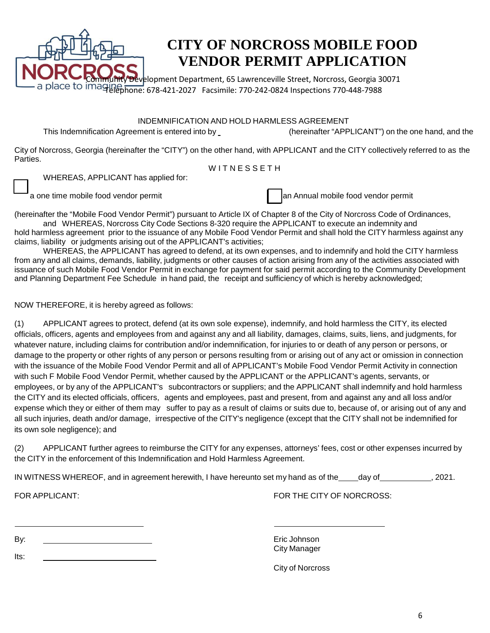

## **CITY OF NORCROSS MOBILE FOOD VENDOR PERMIT APPLICATION**

Development Department, 65 Lawrenceville Street, Norcross, Georgia 30071 place to imaging best consumed from the constrained place to imaging the basic field of the set of the place o

INDEMNIFICATION AND HOLD HARMLESS AGREEMENT

This Indemnification Agreement is entered into by (hereinafter "APPLICANT") on the one hand, and the

City of Norcross, Georgia (hereinafter the "CITY") on the other hand, with APPLICANT and the CITY collectively referred to as the Parties.

WITNESSETH

WHEREAS, APPLICANT has applied for:

 $\mathcal{L}$ 

 $\blacksquare$ a one time mobile food vendor permit and Annual mobile food vendor permit

(hereinafter the "Mobile Food Vendor Permit") pursuant to Article IX of Chapter 8 of the City of Norcross Code of Ordinances,

and WHEREAS, Norcross City Code Sections 8-320 require the APPLICANT to execute an indemnity and hold harmless agreement prior to the issuance of any Mobile Food Vendor Permit and shall hold the CITY harmless against any claims, liability or judgments arising out of the APPLICANT's activities;

WHEREAS, the APPLICANT has agreed to defend, at its own expenses, and to indemnify and hold the CITY harmless from any and all claims, demands, liability, judgments or other causes of action arising from any of the activities associated with issuance of such Mobile Food Vendor Permit in exchange for payment for said permit according to the Community Development and Planning Department Fee Schedule in hand paid, the receipt and sufficiency of which is hereby acknowledged;

NOW THEREFORE, it is hereby agreed as follows:

(1) APPLICANT agrees to protect, defend (at its own sole expense), indemnify, and hold harmless the CITY, its elected officials, officers, agents and employees from and against any and all liability, damages, claims, suits, liens, and judgments, for whatever nature, including claims for contribution and/or indemnification, for injuries to or death of any person or persons, or damage to the property or other rights of any person or persons resulting from or arising out of any act or omission in connection with the issuance of the Mobile Food Vendor Permit and all of APPLICANT's Mobile Food Vendor Permit Activity in connection with such F Mobile Food Vendor Permit, whether caused by the APPLICANT or the APPLICANT's agents, servants, or employees, or by any of the APPLICANT's subcontractors or suppliers; and the APPLICANT shall indemnify and hold harmless the CITY and its elected officials, officers, agents and employees, past and present, from and against any and all loss and/or expense which they or either of them may suffer to pay as a result of claims or suits due to, because of, or arising out of any and all such injuries, death and/or damage, irrespective of the CITY's negligence (except that the CITY shall not be indemnified for its own sole negligence); and

(2) APPLICANT further agrees to reimburse the CITY for any expenses, attorneys' fees, cost or other expenses incurred by the CITY in the enforcement of this Indemnification and Hold Harmless Agreement.

| IN WITNESS WHEREOF, and in agreement herewith, I have hereunto set my hand as of the | dav of | 2021. |
|--------------------------------------------------------------------------------------|--------|-------|
|--------------------------------------------------------------------------------------|--------|-------|

FOR APPLICANT: FOR THE CITY OF NORCROSS:

By:

Its:

Eric Johnson City Manager

City of Norcross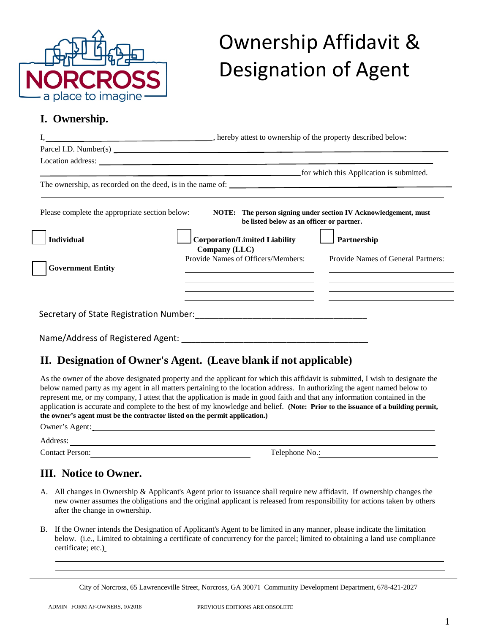

# Ownership Affidavit & Designation of Agent

### **I. Ownership.**

|                                                                                                 |                                                                                                                                          | for which this Application is submitted.                                                                                    |  |
|-------------------------------------------------------------------------------------------------|------------------------------------------------------------------------------------------------------------------------------------------|-----------------------------------------------------------------------------------------------------------------------------|--|
|                                                                                                 |                                                                                                                                          |                                                                                                                             |  |
| Please complete the appropriate section below:<br><b>Individual</b><br><b>Government Entity</b> | be listed below as an officer or partner.<br><b>Corporation/Limited Liability</b><br>Company (LLC)<br>Provide Names of Officers/Members: | NOTE: The person signing under section IV Acknowledgement, must<br>Partnership<br><b>Provide Names of General Partners:</b> |  |
|                                                                                                 |                                                                                                                                          |                                                                                                                             |  |
| Name/Address of Registered Agent:                                                               |                                                                                                                                          |                                                                                                                             |  |

### **II. Designation of Owner's Agent. (Leave blank if not applicable)**

As the owner of the above designated property and the applicant for which this affidavit is submitted, I wish to designate the below named party as my agent in all matters pertaining to the location address. In authorizing the agent named below to represent me, or my company, I attest that the application is made in good faith and that any information contained in the application is accurate and complete to the best of my knowledge and belief. **(Note: Prior to the issuance of a building permit, the owner's agent must be the contractor listed on the permit application.)**

| Owner's Agent:         |                |
|------------------------|----------------|
| Address:               |                |
| <b>Contact Person:</b> | Telephone No.: |
|                        |                |

### **III. Notice to Owner.**

- A. All changes in Ownership & Applicant's Agent prior to issuance shall require new affidavit. If ownership changes the new owner assumes the obligations and the original applicant is released from responsibility for actions taken by others after the change in ownership.
- B. If the Owner intends the Designation of Applicant's Agent to be limited in any manner, please indicate the limitation below. (i.e., Limited to obtaining a certificate of concurrency for the parcel; limited to obtaining a land use compliance certificate; etc.)

City of Norcross, 65 Lawrenceville Street, Norcross, GA 30071 Community Development Department, 678-421-2027